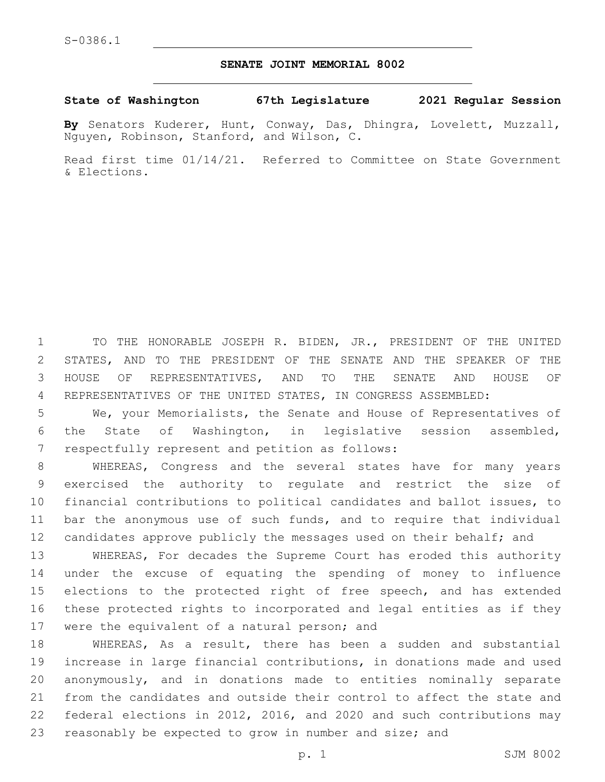## **SENATE JOINT MEMORIAL 8002**

## **State of Washington 67th Legislature 2021 Regular Session**

**By** Senators Kuderer, Hunt, Conway, Das, Dhingra, Lovelett, Muzzall, Nguyen, Robinson, Stanford, and Wilson, C.

Read first time 01/14/21. Referred to Committee on State Government & Elections.

 TO THE HONORABLE JOSEPH R. BIDEN, JR., PRESIDENT OF THE UNITED STATES, AND TO THE PRESIDENT OF THE SENATE AND THE SPEAKER OF THE HOUSE OF REPRESENTATIVES, AND TO THE SENATE AND HOUSE OF REPRESENTATIVES OF THE UNITED STATES, IN CONGRESS ASSEMBLED:

5 We, your Memorialists, the Senate and House of Representatives of 6 the State of Washington, in legislative session assembled, 7 respectfully represent and petition as follows:

 WHEREAS, Congress and the several states have for many years exercised the authority to regulate and restrict the size of financial contributions to political candidates and ballot issues, to bar the anonymous use of such funds, and to require that individual 12 candidates approve publicly the messages used on their behalf; and

13 WHEREAS, For decades the Supreme Court has eroded this authority 14 under the excuse of equating the spending of money to influence 15 elections to the protected right of free speech, and has extended 16 these protected rights to incorporated and legal entities as if they 17 were the equivalent of a natural person; and

 WHEREAS, As a result, there has been a sudden and substantial increase in large financial contributions, in donations made and used anonymously, and in donations made to entities nominally separate from the candidates and outside their control to affect the state and federal elections in 2012, 2016, and 2020 and such contributions may 23 reasonably be expected to grow in number and size; and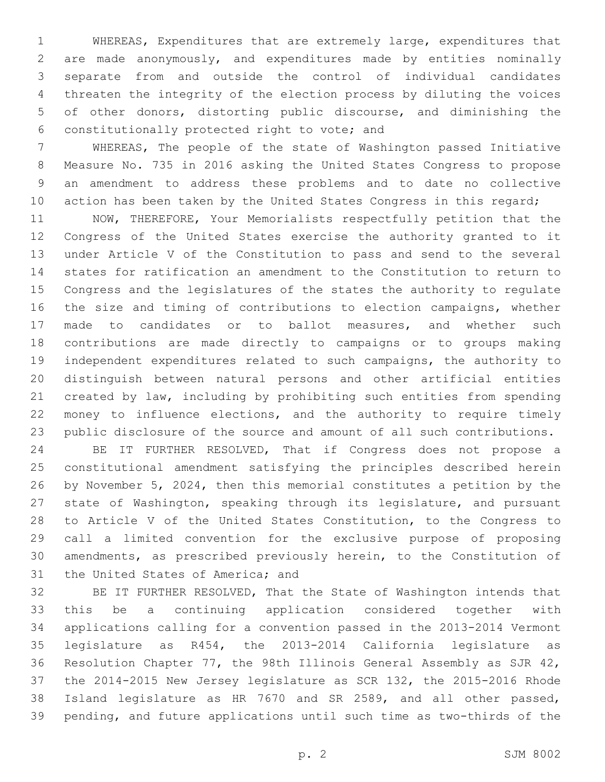WHEREAS, Expenditures that are extremely large, expenditures that are made anonymously, and expenditures made by entities nominally separate from and outside the control of individual candidates threaten the integrity of the election process by diluting the voices of other donors, distorting public discourse, and diminishing the constitutionally protected right to vote; and6

 WHEREAS, The people of the state of Washington passed Initiative Measure No. 735 in 2016 asking the United States Congress to propose an amendment to address these problems and to date no collective 10 action has been taken by the United States Congress in this regard;

 NOW, THEREFORE, Your Memorialists respectfully petition that the Congress of the United States exercise the authority granted to it under Article V of the Constitution to pass and send to the several states for ratification an amendment to the Constitution to return to Congress and the legislatures of the states the authority to regulate the size and timing of contributions to election campaigns, whether made to candidates or to ballot measures, and whether such contributions are made directly to campaigns or to groups making independent expenditures related to such campaigns, the authority to distinguish between natural persons and other artificial entities created by law, including by prohibiting such entities from spending money to influence elections, and the authority to require timely public disclosure of the source and amount of all such contributions.

 BE IT FURTHER RESOLVED, That if Congress does not propose a constitutional amendment satisfying the principles described herein by November 5, 2024, then this memorial constitutes a petition by the state of Washington, speaking through its legislature, and pursuant to Article V of the United States Constitution, to the Congress to call a limited convention for the exclusive purpose of proposing amendments, as prescribed previously herein, to the Constitution of 31 the United States of America; and

 BE IT FURTHER RESOLVED, That the State of Washington intends that this be a continuing application considered together with applications calling for a convention passed in the 2013-2014 Vermont legislature as R454, the 2013-2014 California legislature as Resolution Chapter 77, the 98th Illinois General Assembly as SJR 42, the 2014-2015 New Jersey legislature as SCR 132, the 2015-2016 Rhode Island legislature as HR 7670 and SR 2589, and all other passed, pending, and future applications until such time as two-thirds of the